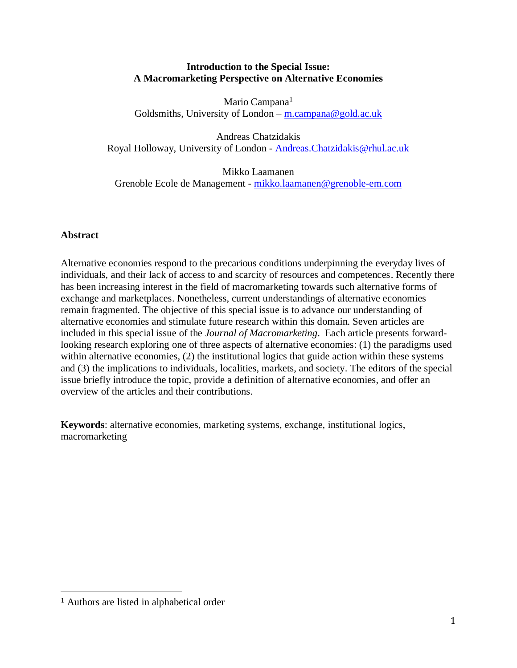# **Introduction to the Special Issue: A Macromarketing Perspective on Alternative Economies**

Mario Campana<sup>1</sup> Goldsmiths, University of London – [m.campana@gold.ac.uk](mailto:m.campana@gold.ac.uk)

Andreas Chatzidakis Royal Holloway, University of London - [Andreas.Chatzidakis@rhul.ac.uk](mailto:Andreas.Chatzidakis@rhul.ac.uk)

Mikko Laamanen Grenoble Ecole de Management - [mikko.laamanen@grenoble-em.com](mailto:mikko.laamanen@grenoble-em.com)

# **Abstract**

Alternative economies respond to the precarious conditions underpinning the everyday lives of individuals, and their lack of access to and scarcity of resources and competences. Recently there has been increasing interest in the field of macromarketing towards such alternative forms of exchange and marketplaces. Nonetheless, current understandings of alternative economies remain fragmented. The objective of this special issue is to advance our understanding of alternative economies and stimulate future research within this domain. Seven articles are included in this special issue of the *Journal of Macromarketing*. Each article presents forwardlooking research exploring one of three aspects of alternative economies: (1) the paradigms used within alternative economies, (2) the institutional logics that guide action within these systems and (3) the implications to individuals, localities, markets, and society. The editors of the special issue briefly introduce the topic, provide a definition of alternative economies, and offer an overview of the articles and their contributions.

**Keywords**: alternative economies, marketing systems, exchange, institutional logics, macromarketing

 $\overline{a}$ 

<sup>1</sup> Authors are listed in alphabetical order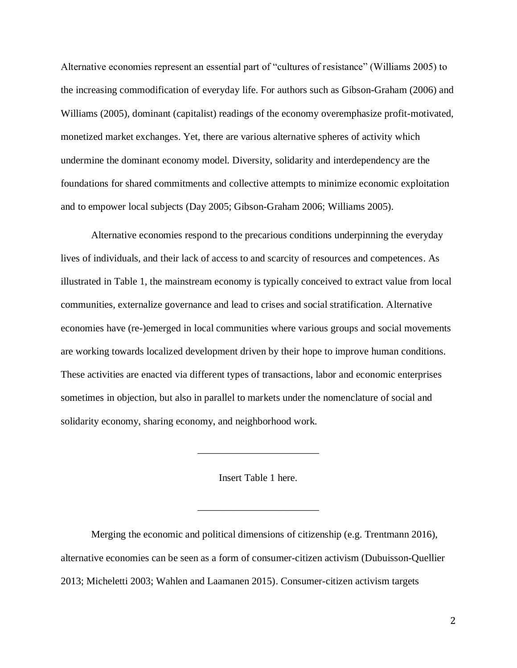Alternative economies represent an essential part of "cultures of resistance" (Williams 2005) to the increasing commodification of everyday life. For authors such as Gibson-Graham (2006) and Williams (2005), dominant (capitalist) readings of the economy overemphasize profit-motivated, monetized market exchanges. Yet, there are various alternative spheres of activity which undermine the dominant economy model. Diversity, solidarity and interdependency are the foundations for shared commitments and collective attempts to minimize economic exploitation and to empower local subjects (Day 2005; Gibson-Graham 2006; Williams 2005).

Alternative economies respond to the precarious conditions underpinning the everyday lives of individuals, and their lack of access to and scarcity of resources and competences. As illustrated in Table 1, the mainstream economy is typically conceived to extract value from local communities, externalize governance and lead to crises and social stratification. Alternative economies have (re-)emerged in local communities where various groups and social movements are working towards localized development driven by their hope to improve human conditions. These activities are enacted via different types of transactions, labor and economic enterprises sometimes in objection, but also in parallel to markets under the nomenclature of social and solidarity economy, sharing economy, and neighborhood work.

Insert Table 1 here.

\_\_\_\_\_\_\_\_\_\_\_\_\_\_\_\_\_\_\_\_\_\_\_\_

\_\_\_\_\_\_\_\_\_\_\_\_\_\_\_\_\_\_\_\_\_\_\_\_

Merging the economic and political dimensions of citizenship (e.g. Trentmann 2016), alternative economies can be seen as a form of consumer-citizen activism (Dubuisson-Quellier 2013; Micheletti 2003; Wahlen and Laamanen 2015). Consumer-citizen activism targets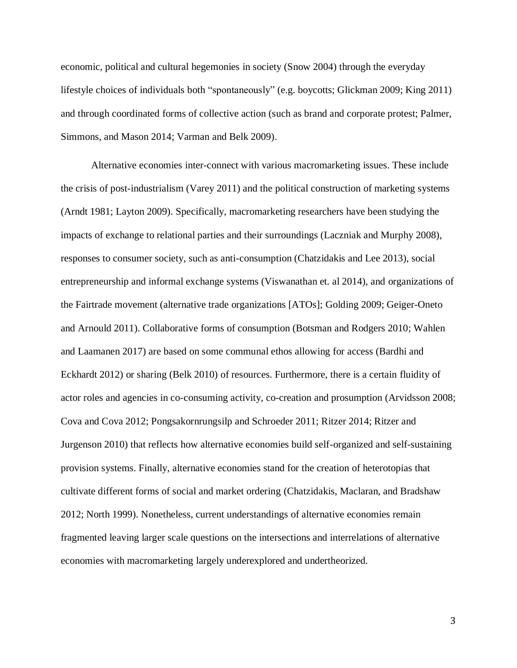economic, political and cultural hegemonies in society (Snow 2004) through the everyday lifestyle choices of individuals both "spontaneously" (e.g. boycotts; Glickman 2009; King 2011) and through coordinated forms of collective action (such as brand and corporate protest; Palmer, Simmons, and Mason 2014; Varman and Belk 2009).

Alternative economies inter-connect with various macromarketing issues. These include the crisis of post-industrialism (Varey 2011) and the political construction of marketing systems (Arndt 1981; Layton 2009). Specifically, macromarketing researchers have been studying the impacts of exchange to relational parties and their surroundings (Laczniak and Murphy 2008), responses to consumer society, such as anti-consumption (Chatzidakis and Lee 2013), social entrepreneurship and informal exchange systems (Viswanathan et. al 2014), and organizations of the Fairtrade movement (alternative trade organizations [ATOs]; Golding 2009; Geiger-Oneto and Arnould 2011). Collaborative forms of consumption (Botsman and Rodgers 2010; Wahlen and Laamanen 2017) are based on some communal ethos allowing for access (Bardhi and Eckhardt 2012) or sharing (Belk 2010) of resources. Furthermore, there is a certain fluidity of actor roles and agencies in co-consuming activity, co-creation and prosumption (Arvidsson 2008; Cova and Cova 2012; Pongsakornrungsilp and Schroeder 2011; Ritzer 2014; Ritzer and Jurgenson 2010) that reflects how alternative economies build self-organized and self-sustaining provision systems. Finally, alternative economies stand for the creation of heterotopias that cultivate different forms of social and market ordering (Chatzidakis, Maclaran, and Bradshaw 2012; North 1999). Nonetheless, current understandings of alternative economies remain fragmented leaving larger scale questions on the intersections and interrelations of alternative economies with macromarketing largely underexplored and undertheorized.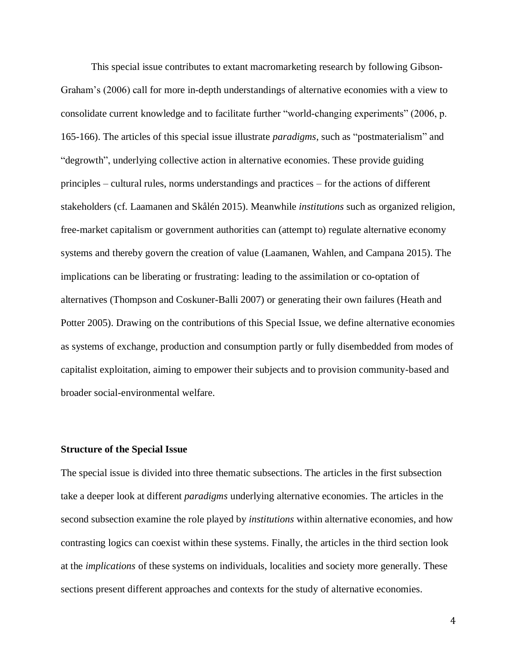This special issue contributes to extant macromarketing research by following Gibson-Graham's (2006) call for more in-depth understandings of alternative economies with a view to consolidate current knowledge and to facilitate further "world-changing experiments" (2006, p. 165-166). The articles of this special issue illustrate *paradigms*, such as "postmaterialism" and "degrowth", underlying collective action in alternative economies. These provide guiding principles – cultural rules, norms understandings and practices – for the actions of different stakeholders (cf. Laamanen and Skålén 2015). Meanwhile *institutions* such as organized religion, free-market capitalism or government authorities can (attempt to) regulate alternative economy systems and thereby govern the creation of value (Laamanen, Wahlen, and Campana 2015). The implications can be liberating or frustrating: leading to the assimilation or co-optation of alternatives (Thompson and Coskuner-Balli 2007) or generating their own failures (Heath and Potter 2005). Drawing on the contributions of this Special Issue, we define alternative economies as systems of exchange, production and consumption partly or fully disembedded from modes of capitalist exploitation, aiming to empower their subjects and to provision community-based and broader social-environmental welfare.

## **Structure of the Special Issue**

The special issue is divided into three thematic subsections. The articles in the first subsection take a deeper look at different *paradigms* underlying alternative economies. The articles in the second subsection examine the role played by *institutions* within alternative economies, and how contrasting logics can coexist within these systems. Finally, the articles in the third section look at the *implications* of these systems on individuals, localities and society more generally. These sections present different approaches and contexts for the study of alternative economies.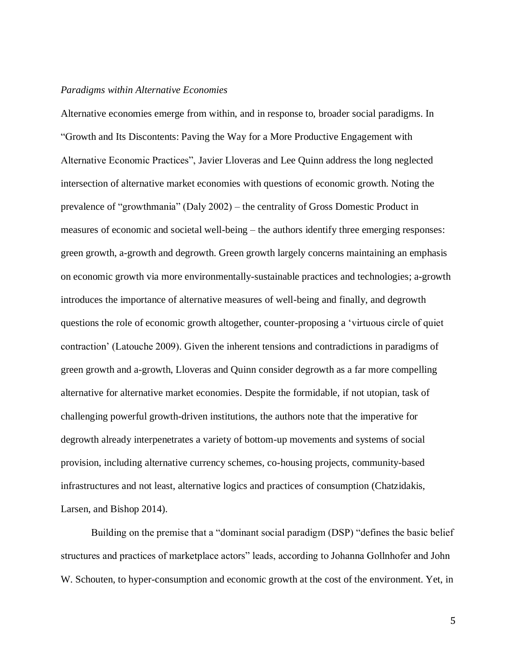#### *Paradigms within Alternative Economies*

Alternative economies emerge from within, and in response to, broader social paradigms. In "Growth and Its Discontents: Paving the Way for a More Productive Engagement with Alternative Economic Practices", Javier Lloveras and Lee Quinn address the long neglected intersection of alternative market economies with questions of economic growth. Noting the prevalence of "growthmania" (Daly 2002) – the centrality of Gross Domestic Product in measures of economic and societal well-being – the authors identify three emerging responses: green growth, a-growth and degrowth. Green growth largely concerns maintaining an emphasis on economic growth via more environmentally-sustainable practices and technologies; a-growth introduces the importance of alternative measures of well-being and finally, and degrowth questions the role of economic growth altogether, counter-proposing a 'virtuous circle of quiet contraction' (Latouche 2009). Given the inherent tensions and contradictions in paradigms of green growth and a-growth, Lloveras and Quinn consider degrowth as a far more compelling alternative for alternative market economies. Despite the formidable, if not utopian, task of challenging powerful growth-driven institutions, the authors note that the imperative for degrowth already interpenetrates a variety of bottom-up movements and systems of social provision, including alternative currency schemes, co-housing projects, community-based infrastructures and not least, alternative logics and practices of consumption (Chatzidakis, Larsen, and Bishop 2014).

Building on the premise that a "dominant social paradigm (DSP) "defines the basic belief structures and practices of marketplace actors" leads, according to Johanna Gollnhofer and John W. Schouten, to hyper-consumption and economic growth at the cost of the environment. Yet, in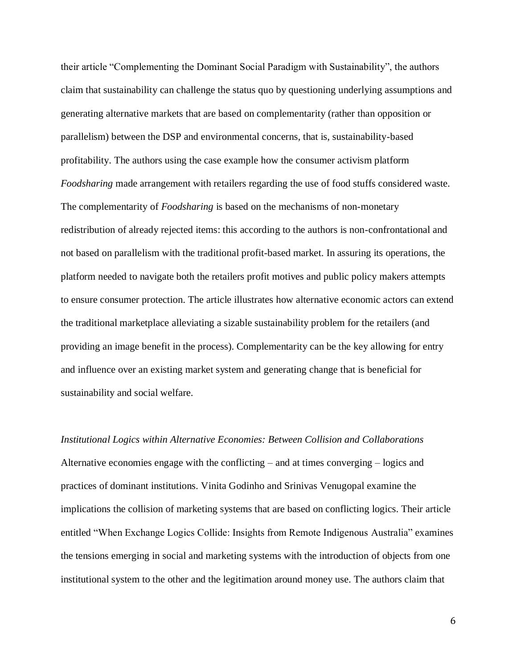their article "Complementing the Dominant Social Paradigm with Sustainability", the authors claim that sustainability can challenge the status quo by questioning underlying assumptions and generating alternative markets that are based on complementarity (rather than opposition or parallelism) between the DSP and environmental concerns, that is, sustainability-based profitability. The authors using the case example how the consumer activism platform *Foodsharing* made arrangement with retailers regarding the use of food stuffs considered waste. The complementarity of *Foodsharing* is based on the mechanisms of non-monetary redistribution of already rejected items: this according to the authors is non-confrontational and not based on parallelism with the traditional profit-based market. In assuring its operations, the platform needed to navigate both the retailers profit motives and public policy makers attempts to ensure consumer protection. The article illustrates how alternative economic actors can extend the traditional marketplace alleviating a sizable sustainability problem for the retailers (and providing an image benefit in the process). Complementarity can be the key allowing for entry and influence over an existing market system and generating change that is beneficial for sustainability and social welfare.

*Institutional Logics within Alternative Economies: Between Collision and Collaborations* Alternative economies engage with the conflicting – and at times converging – logics and practices of dominant institutions. Vinita Godinho and Srinivas Venugopal examine the implications the collision of marketing systems that are based on conflicting logics. Their article entitled "When Exchange Logics Collide: Insights from Remote Indigenous Australia" examines the tensions emerging in social and marketing systems with the introduction of objects from one institutional system to the other and the legitimation around money use. The authors claim that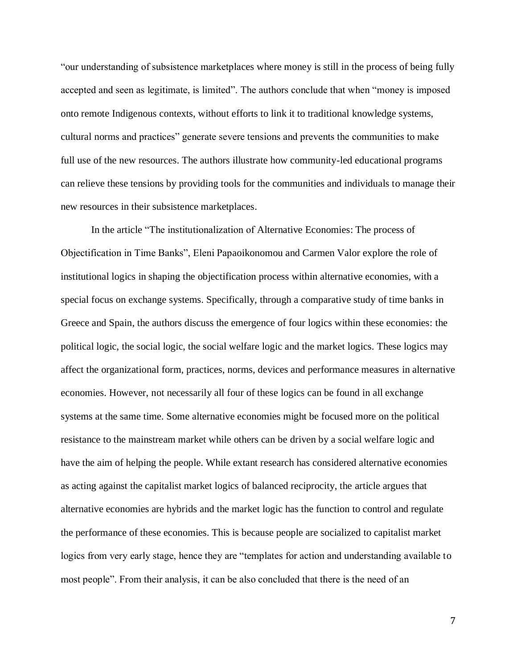"our understanding of subsistence marketplaces where money is still in the process of being fully accepted and seen as legitimate, is limited". The authors conclude that when "money is imposed onto remote Indigenous contexts, without efforts to link it to traditional knowledge systems, cultural norms and practices" generate severe tensions and prevents the communities to make full use of the new resources. The authors illustrate how community-led educational programs can relieve these tensions by providing tools for the communities and individuals to manage their new resources in their subsistence marketplaces.

In the article "The institutionalization of Alternative Economies: The process of Objectification in Time Banks", Eleni Papaoikonomou and Carmen Valor explore the role of institutional logics in shaping the objectification process within alternative economies, with a special focus on exchange systems. Specifically, through a comparative study of time banks in Greece and Spain, the authors discuss the emergence of four logics within these economies: the political logic, the social logic, the social welfare logic and the market logics. These logics may affect the organizational form, practices, norms, devices and performance measures in alternative economies. However, not necessarily all four of these logics can be found in all exchange systems at the same time. Some alternative economies might be focused more on the political resistance to the mainstream market while others can be driven by a social welfare logic and have the aim of helping the people. While extant research has considered alternative economies as acting against the capitalist market logics of balanced reciprocity, the article argues that alternative economies are hybrids and the market logic has the function to control and regulate the performance of these economies. This is because people are socialized to capitalist market logics from very early stage, hence they are "templates for action and understanding available to most people". From their analysis, it can be also concluded that there is the need of an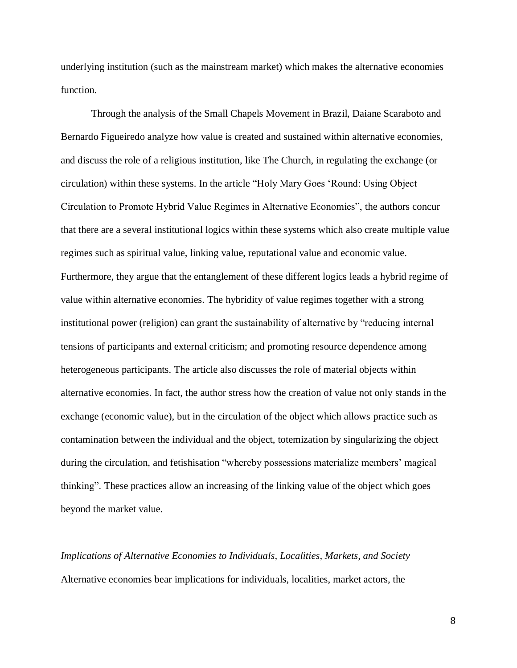underlying institution (such as the mainstream market) which makes the alternative economies function.

Through the analysis of the Small Chapels Movement in Brazil, Daiane Scaraboto and Bernardo Figueiredo analyze how value is created and sustained within alternative economies, and discuss the role of a religious institution, like The Church, in regulating the exchange (or circulation) within these systems. In the article "Holy Mary Goes 'Round: Using Object Circulation to Promote Hybrid Value Regimes in Alternative Economies", the authors concur that there are a several institutional logics within these systems which also create multiple value regimes such as spiritual value, linking value, reputational value and economic value. Furthermore, they argue that the entanglement of these different logics leads a hybrid regime of value within alternative economies. The hybridity of value regimes together with a strong institutional power (religion) can grant the sustainability of alternative by "reducing internal tensions of participants and external criticism; and promoting resource dependence among heterogeneous participants. The article also discusses the role of material objects within alternative economies. In fact, the author stress how the creation of value not only stands in the exchange (economic value), but in the circulation of the object which allows practice such as contamination between the individual and the object, totemization by singularizing the object during the circulation, and fetishisation "whereby possessions materialize members' magical thinking". These practices allow an increasing of the linking value of the object which goes beyond the market value.

*Implications of Alternative Economies to Individuals, Localities, Markets, and Society* Alternative economies bear implications for individuals, localities, market actors, the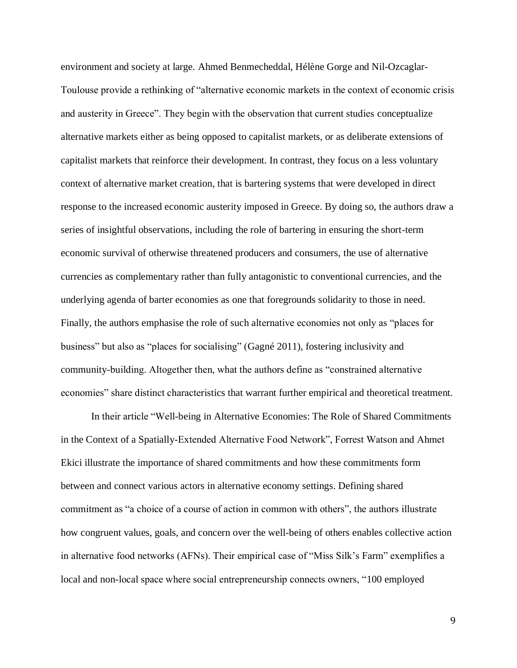environment and society at large. Ahmed Benmecheddal, Hélène Gorge and Nil-Ozcaglar-Toulouse provide a rethinking of "alternative economic markets in the context of economic crisis and austerity in Greece". They begin with the observation that current studies conceptualize alternative markets either as being opposed to capitalist markets, or as deliberate extensions of capitalist markets that reinforce their development. In contrast, they focus on a less voluntary context of alternative market creation, that is bartering systems that were developed in direct response to the increased economic austerity imposed in Greece. By doing so, the authors draw a series of insightful observations, including the role of bartering in ensuring the short-term economic survival of otherwise threatened producers and consumers, the use of alternative currencies as complementary rather than fully antagonistic to conventional currencies, and the underlying agenda of barter economies as one that foregrounds solidarity to those in need. Finally, the authors emphasise the role of such alternative economies not only as "places for business" but also as "places for socialising" (Gagné 2011), fostering inclusivity and community-building. Altogether then, what the authors define as "constrained alternative economies" share distinct characteristics that warrant further empirical and theoretical treatment.

In their article "Well-being in Alternative Economies: The Role of Shared Commitments in the Context of a Spatially-Extended Alternative Food Network", Forrest Watson and Ahmet Ekici illustrate the importance of shared commitments and how these commitments form between and connect various actors in alternative economy settings. Defining shared commitment as "a choice of a course of action in common with others", the authors illustrate how congruent values, goals, and concern over the well-being of others enables collective action in alternative food networks (AFNs). Their empirical case of "Miss Silk's Farm" exemplifies a local and non-local space where social entrepreneurship connects owners, "100 employed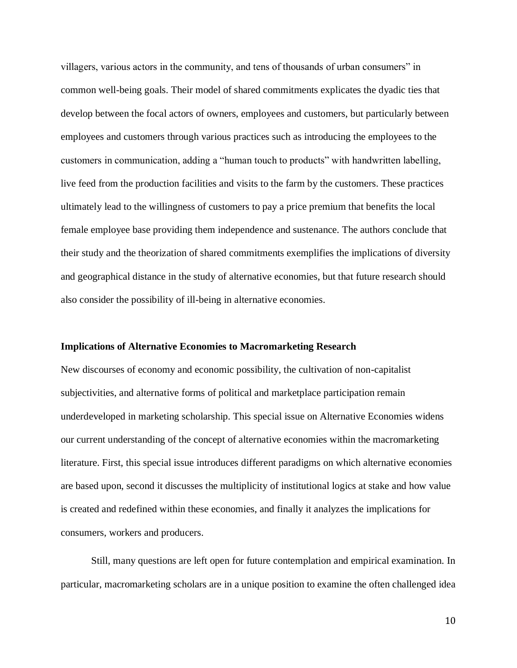villagers, various actors in the community, and tens of thousands of urban consumers" in common well-being goals. Their model of shared commitments explicates the dyadic ties that develop between the focal actors of owners, employees and customers, but particularly between employees and customers through various practices such as introducing the employees to the customers in communication, adding a "human touch to products" with handwritten labelling, live feed from the production facilities and visits to the farm by the customers. These practices ultimately lead to the willingness of customers to pay a price premium that benefits the local female employee base providing them independence and sustenance. The authors conclude that their study and the theorization of shared commitments exemplifies the implications of diversity and geographical distance in the study of alternative economies, but that future research should also consider the possibility of ill-being in alternative economies.

### **Implications of Alternative Economies to Macromarketing Research**

New discourses of economy and economic possibility, the cultivation of non-capitalist subjectivities, and alternative forms of political and marketplace participation remain underdeveloped in marketing scholarship. This special issue on Alternative Economies widens our current understanding of the concept of alternative economies within the macromarketing literature. First, this special issue introduces different paradigms on which alternative economies are based upon, second it discusses the multiplicity of institutional logics at stake and how value is created and redefined within these economies, and finally it analyzes the implications for consumers, workers and producers.

Still, many questions are left open for future contemplation and empirical examination. In particular, macromarketing scholars are in a unique position to examine the often challenged idea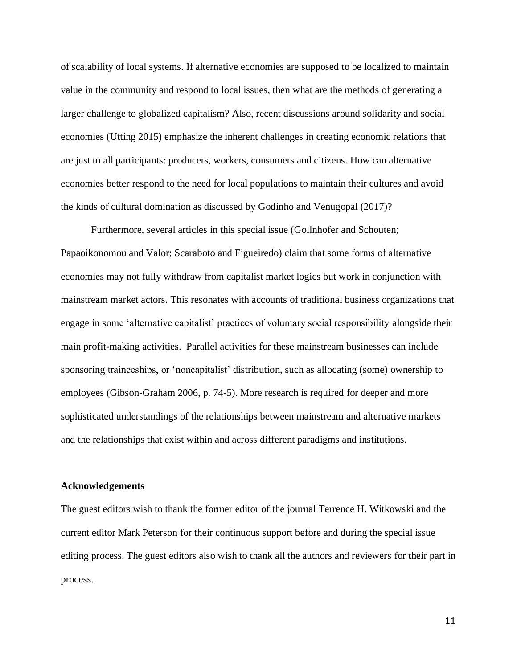of scalability of local systems. If alternative economies are supposed to be localized to maintain value in the community and respond to local issues, then what are the methods of generating a larger challenge to globalized capitalism? Also, recent discussions around solidarity and social economies (Utting 2015) emphasize the inherent challenges in creating economic relations that are just to all participants: producers, workers, consumers and citizens. How can alternative economies better respond to the need for local populations to maintain their cultures and avoid the kinds of cultural domination as discussed by Godinho and Venugopal (2017)?

Furthermore, several articles in this special issue (Gollnhofer and Schouten; Papaoikonomou and Valor; Scaraboto and Figueiredo) claim that some forms of alternative economies may not fully withdraw from capitalist market logics but work in conjunction with mainstream market actors. This resonates with accounts of traditional business organizations that engage in some 'alternative capitalist' practices of voluntary social responsibility alongside their main profit-making activities. Parallel activities for these mainstream businesses can include sponsoring traineeships, or 'noncapitalist' distribution, such as allocating (some) ownership to employees (Gibson-Graham 2006, p. 74-5). More research is required for deeper and more sophisticated understandings of the relationships between mainstream and alternative markets and the relationships that exist within and across different paradigms and institutions.

#### **Acknowledgements**

The guest editors wish to thank the former editor of the journal Terrence H. Witkowski and the current editor Mark Peterson for their continuous support before and during the special issue editing process. The guest editors also wish to thank all the authors and reviewers for their part in process.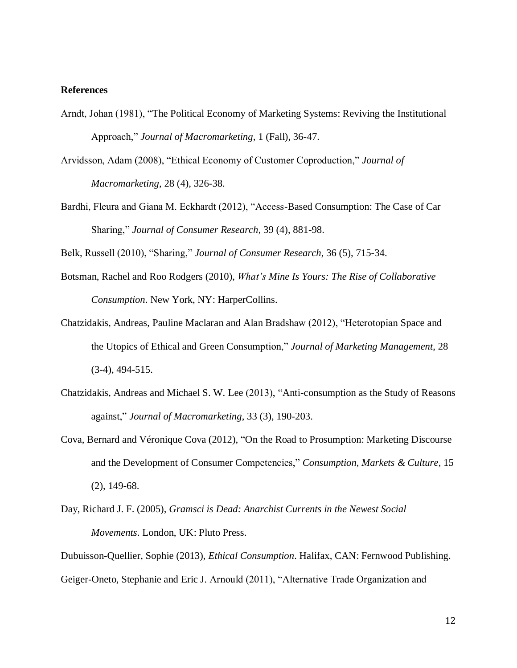## **References**

- Arndt, Johan (1981), "The Political Economy of Marketing Systems: Reviving the Institutional Approach," *Journal of Macromarketing*, 1 (Fall), 36-47.
- Arvidsson, Adam (2008), "Ethical Economy of Customer Coproduction," *Journal of Macromarketing*, 28 (4), 326-38.
- Bardhi, Fleura and Giana M. Eckhardt (2012), "Access-Based Consumption: The Case of Car Sharing," *Journal of Consumer Research*, 39 (4), 881-98.

Belk, Russell (2010), "Sharing," *Journal of Consumer Research*, 36 (5), 715-34.

- Botsman, Rachel and Roo Rodgers (2010), *What's Mine Is Yours: The Rise of Collaborative Consumption*. New York, NY: HarperCollins.
- Chatzidakis, Andreas, Pauline Maclaran and Alan Bradshaw (2012), "Heterotopian Space and the Utopics of Ethical and Green Consumption," *Journal of Marketing Management*, 28 (3-4), 494-515.
- Chatzidakis, Andreas and Michael S. W. Lee (2013), "Anti-consumption as the Study of Reasons against," *Journal of Macromarketing*, 33 (3), 190-203.
- Cova, Bernard and Véronique Cova (2012), "On the Road to Prosumption: Marketing Discourse and the Development of Consumer Competencies," *Consumption, Markets & Culture*, 15 (2), 149-68.
- Day, Richard J. F. (2005), *Gramsci is Dead: Anarchist Currents in the Newest Social Movements*. London, UK: Pluto Press.

Dubuisson-Quellier, Sophie (2013), *Ethical Consumption*. Halifax, CAN: Fernwood Publishing. Geiger-Oneto, Stephanie and Eric J. Arnould (2011), "Alternative Trade Organization and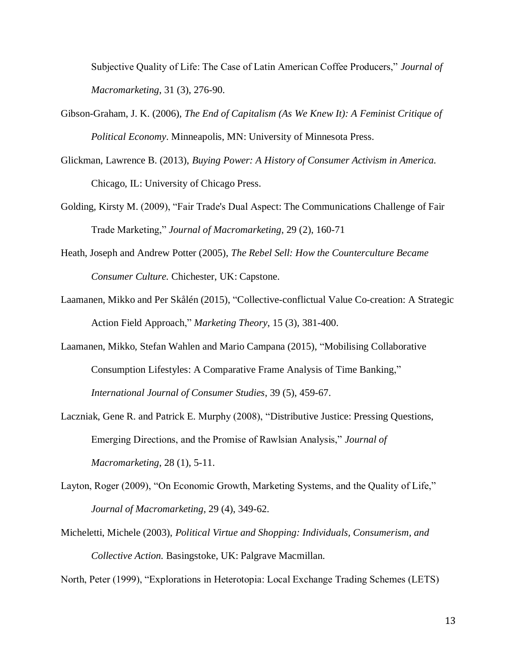Subjective Quality of Life: The Case of Latin American Coffee Producers," *Journal of Macromarketing*, 31 (3), 276-90.

- Gibson-Graham, J. K. (2006), *The End of Capitalism (As We Knew It): A Feminist Critique of Political Economy*. Minneapolis, MN: University of Minnesota Press.
- Glickman, Lawrence B. (2013), *Buying Power: A History of Consumer Activism in America.* Chicago, IL: University of Chicago Press.
- Golding, Kirsty M. (2009), "Fair Trade's Dual Aspect: The Communications Challenge of Fair Trade Marketing," *Journal of Macromarketing*, 29 (2), 160-71
- Heath, Joseph and Andrew Potter (2005), *The Rebel Sell: How the Counterculture Became Consumer Culture.* Chichester, UK: Capstone.
- Laamanen, Mikko and Per Skålén (2015), "Collective-conflictual Value Co-creation: A Strategic Action Field Approach," *Marketing Theory*, 15 (3), 381-400.
- Laamanen, Mikko, Stefan Wahlen and Mario Campana (2015), "Mobilising Collaborative Consumption Lifestyles: A Comparative Frame Analysis of Time Banking," *International Journal of Consumer Studies*, 39 (5), 459-67.
- Laczniak, Gene R. and Patrick E. Murphy (2008), "Distributive Justice: Pressing Questions, Emerging Directions, and the Promise of Rawlsian Analysis," *Journal of Macromarketing*, 28 (1), 5-11.
- Layton, Roger (2009), "On Economic Growth, Marketing Systems, and the Quality of Life," *Journal of Macromarketing*, 29 (4), 349-62.
- Micheletti, Michele (2003), *Political Virtue and Shopping: Individuals, Consumerism, and Collective Action.* Basingstoke, UK: Palgrave Macmillan.

North, Peter (1999), "Explorations in Heterotopia: Local Exchange Trading Schemes (LETS)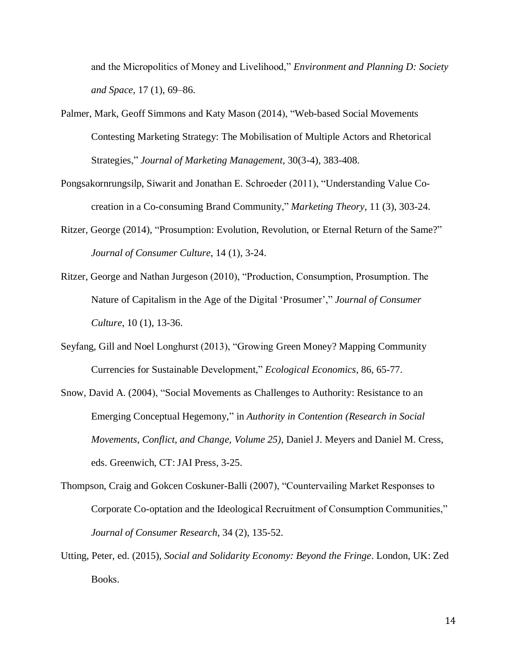and the Micropolitics of Money and Livelihood," *Environment and Planning D: Society and Space,* 17 (1), 69–86.

- Palmer, Mark, Geoff Simmons and Katy Mason (2014), "Web-based Social Movements Contesting Marketing Strategy: The Mobilisation of Multiple Actors and Rhetorical Strategies," *Journal of Marketing Management*, 30(3-4), 383-408.
- Pongsakornrungsilp, Siwarit and Jonathan E. Schroeder (2011), "Understanding Value Cocreation in a Co-consuming Brand Community," *Marketing Theory*, 11 (3), 303-24.
- Ritzer, George (2014), "Prosumption: Evolution, Revolution, or Eternal Return of the Same?" *Journal of Consumer Culture*, 14 (1), 3-24.
- Ritzer, George and Nathan Jurgeson (2010), "Production, Consumption, Prosumption. The Nature of Capitalism in the Age of the Digital 'Prosumer'," *Journal of Consumer Culture*, 10 (1), 13-36.
- Seyfang, Gill and Noel Longhurst (2013), "Growing Green Money? Mapping Community Currencies for Sustainable Development," *Ecological Economics*, 86, 65-77.
- Snow, David A. (2004), "Social Movements as Challenges to Authority: Resistance to an Emerging Conceptual Hegemony," in *Authority in Contention (Research in Social Movements, Conflict, and Change, Volume 25)*, Daniel J. Meyers and Daniel M. Cress, eds. Greenwich, CT: JAI Press, 3-25.
- Thompson, Craig and Gokcen Coskuner-Balli (2007), "Countervailing Market Responses to Corporate Co-optation and the Ideological Recruitment of Consumption Communities," *Journal of Consumer Research*, 34 (2), 135-52.
- Utting, Peter, ed. (2015), *Social and Solidarity Economy: Beyond the Fringe*. London, UK: Zed Books.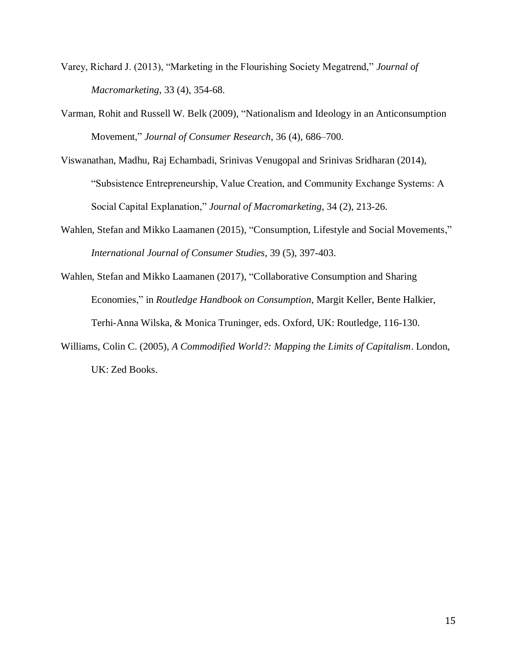- Varey, Richard J. (2013), "Marketing in the Flourishing Society Megatrend," *Journal of Macromarketing*, 33 (4), 354-68.
- Varman, Rohit and Russell W. Belk (2009), "Nationalism and Ideology in an Anticonsumption Movement," *Journal of Consumer Research*, 36 (4), 686–700.
- Viswanathan, Madhu, Raj Echambadi, Srinivas Venugopal and Srinivas Sridharan (2014), "Subsistence Entrepreneurship, Value Creation, and Community Exchange Systems: A Social Capital Explanation," *Journal of Macromarketing*, 34 (2), 213-26.
- Wahlen, Stefan and Mikko Laamanen (2015), "Consumption, Lifestyle and Social Movements," *International Journal of Consumer Studies*, 39 (5), 397-403.
- Wahlen, Stefan and Mikko Laamanen (2017), "Collaborative Consumption and Sharing Economies," in *Routledge Handbook on Consumption*, Margit Keller, Bente Halkier, Terhi-Anna Wilska, & Monica Truninger, eds. Oxford, UK: Routledge, 116-130.
- Williams, Colin C. (2005), *A Commodified World?: Mapping the Limits of Capitalism*. London, UK: Zed Books.